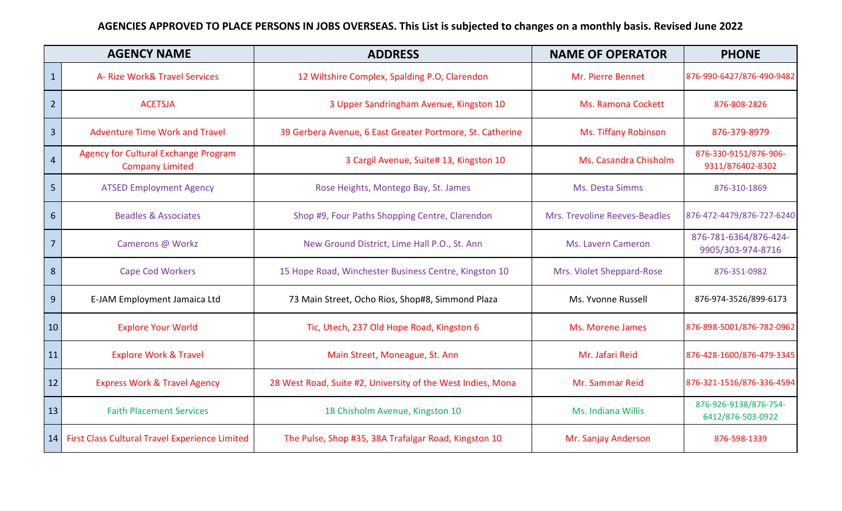## **AGENCIES APPROVED TO PLACE PERSONS IN JOBS OVERSEAS. This List is subjected to changes on a monthly basis. Revised June 2022**

| <b>AGENCY NAME</b> |                                                                | <b>ADDRESS</b>                                              | <b>NAME OF OPERATOR</b>       | <b>PHONE</b>                               |
|--------------------|----------------------------------------------------------------|-------------------------------------------------------------|-------------------------------|--------------------------------------------|
| $\mathbf{1}$       | A- Rize Work& Travel Services                                  | 12 Wiltshire Complex, Spalding P.O, Clarendon               | Mr. Pierre Bennet             | 876-990-6427/876-490-9482                  |
| $\overline{2}$     | <b>ACETSJA</b>                                                 | 3 Upper Sandringham Avenue, Kingston 10                     | <b>Ms. Ramona Cockett</b>     | 876-808-2826                               |
| $\overline{3}$     | <b>Adventure Time Work and Travel</b>                          | 39 Gerbera Avenue, 6 East Greater Portmore, St. Catherine   | Ms. Tiffany Robinson          | 876-379-8979                               |
| $\overline{4}$     | Agency for Cultural Exchange Program<br><b>Company Limited</b> | 3 Cargil Avenue, Suite# 13, Kingston 10                     | Ms. Casandra Chisholm         | 876-330-9151/876-906-<br>9311/876402-8302  |
| $5\phantom{1}$     | <b>ATSED Employment Agency</b>                                 | Rose Heights, Montego Bay, St. James                        | Ms. Desta Simms               | 876-310-1869                               |
| 6                  | <b>Beadles &amp; Associates</b>                                | Shop #9, Four Paths Shopping Centre, Clarendon              | Mrs. Trevoline Reeves-Beadles | 876-472-4479/876-727-6240                  |
| $\overline{7}$     | Camerons @ Workz                                               | New Ground District, Lime Hall P.O., St. Ann                | Ms. Lavern Cameron            | 876-781-6364/876-424-<br>9905/303-974-8716 |
| 8                  | <b>Cape Cod Workers</b>                                        | 15 Hope Road, Winchester Business Centre, Kingston 10       | Mrs. Violet Sheppard-Rose     | 876-351-0982                               |
| 9                  | E-JAM Employment Jamaica Ltd                                   | 73 Main Street, Ocho Rios, Shop#8, Simmond Plaza            | Ms. Yvonne Russell            | 876-974-3526/899-6173                      |
| 10                 | <b>Explore Your World</b>                                      | Tic, Utech, 237 Old Hope Road, Kingston 6                   | Ms. Morene James              | 876-898-5001/876-782-0962                  |
| 11                 | <b>Explore Work &amp; Travel</b>                               | Main Street, Moneague, St. Ann                              | Mr. Jafari Reid               | 876-428-1600/876-479-3345                  |
| 12                 | <b>Express Work &amp; Travel Agency</b>                        | 28 West Road, Suite #2, University of the West Indies, Mona | Mr. Sammar Reid               | 876-321-1516/876-336-4594                  |
| 13                 | <b>Faith Placement Services</b>                                | 18 Chisholm Avenue, Kingston 10                             | Ms. Indiana Willis            | 876-926-9138/876-754-<br>6412/876-503-0922 |
|                    | 14 First Class Cultural Travel Experience Limited              | The Pulse, Shop #35, 38A Trafalgar Road, Kingston 10        | Mr. Sanjay Anderson           | 876-598-1339                               |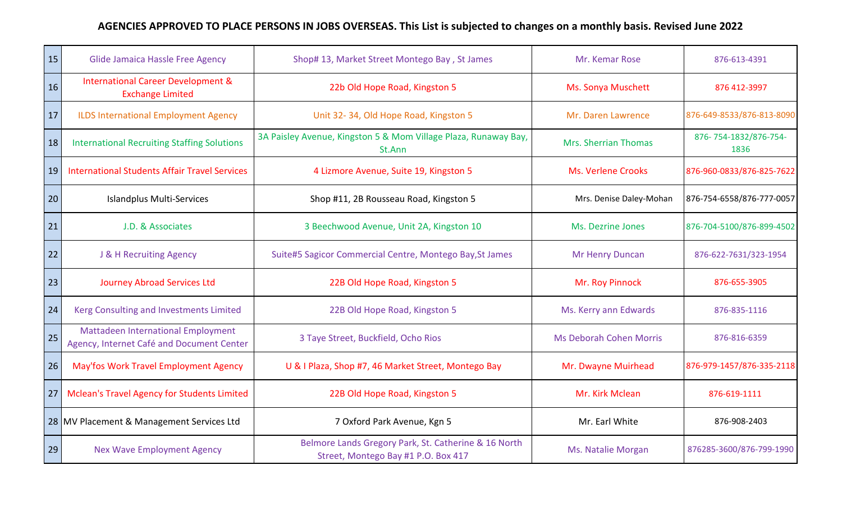## **AGENCIES APPROVED TO PLACE PERSONS IN JOBS OVERSEAS. This List is subjected to changes on a monthly basis. Revised June 2022**

| 15 | Glide Jamaica Hassle Free Agency                                                       | Shop# 13, Market Street Montego Bay, St James                                               | Mr. Kemar Rose                 | 876-613-4391                  |
|----|----------------------------------------------------------------------------------------|---------------------------------------------------------------------------------------------|--------------------------------|-------------------------------|
| 16 | <b>International Career Development &amp;</b><br><b>Exchange Limited</b>               | 22b Old Hope Road, Kingston 5                                                               | Ms. Sonya Muschett             | 876 412-3997                  |
| 17 | <b>ILDS International Employment Agency</b>                                            | Unit 32-34, Old Hope Road, Kingston 5                                                       | Mr. Daren Lawrence             | 876-649-8533/876-813-8090     |
| 18 | <b>International Recruiting Staffing Solutions</b>                                     | 3A Paisley Avenue, Kingston 5 & Mom Village Plaza, Runaway Bay,<br>St.Ann                   | <b>Mrs. Sherrian Thomas</b>    | 876-754-1832/876-754-<br>1836 |
| 19 | <b>International Students Affair Travel Services</b>                                   | 4 Lizmore Avenue, Suite 19, Kingston 5                                                      | <b>Ms. Verlene Crooks</b>      | 876-960-0833/876-825-7622     |
| 20 | Islandplus Multi-Services                                                              | Shop #11, 2B Rousseau Road, Kingston 5                                                      | Mrs. Denise Daley-Mohan        | 876-754-6558/876-777-0057     |
| 21 | J.D. & Associates                                                                      | 3 Beechwood Avenue, Unit 2A, Kingston 10                                                    | Ms. Dezrine Jones              | 876-704-5100/876-899-4502     |
| 22 | J & H Recruiting Agency                                                                | Suite#5 Sagicor Commercial Centre, Montego Bay, St James                                    | Mr Henry Duncan                | 876-622-7631/323-1954         |
| 23 | <b>Journey Abroad Services Ltd</b>                                                     | 22B Old Hope Road, Kingston 5                                                               | Mr. Roy Pinnock                | 876-655-3905                  |
| 24 | Kerg Consulting and Investments Limited                                                | 22B Old Hope Road, Kingston 5                                                               | Ms. Kerry ann Edwards          | 876-835-1116                  |
| 25 | <b>Mattadeen International Employment</b><br>Agency, Internet Café and Document Center | 3 Taye Street, Buckfield, Ocho Rios                                                         | <b>Ms Deborah Cohen Morris</b> | 876-816-6359                  |
| 26 | May'fos Work Travel Employment Agency                                                  | U & I Plaza, Shop #7, 46 Market Street, Montego Bay                                         | Mr. Dwayne Muirhead            | 876-979-1457/876-335-2118     |
| 27 | <b>Mclean's Travel Agency for Students Limited</b>                                     | 22B Old Hope Road, Kingston 5                                                               | Mr. Kirk Mclean                | 876-619-1111                  |
|    | 28 MV Placement & Management Services Ltd                                              | 7 Oxford Park Avenue, Kgn 5                                                                 | Mr. Earl White                 | 876-908-2403                  |
| 29 | <b>Nex Wave Employment Agency</b>                                                      | Belmore Lands Gregory Park, St. Catherine & 16 North<br>Street, Montego Bay #1 P.O. Box 417 | Ms. Natalie Morgan             | 876285-3600/876-799-1990      |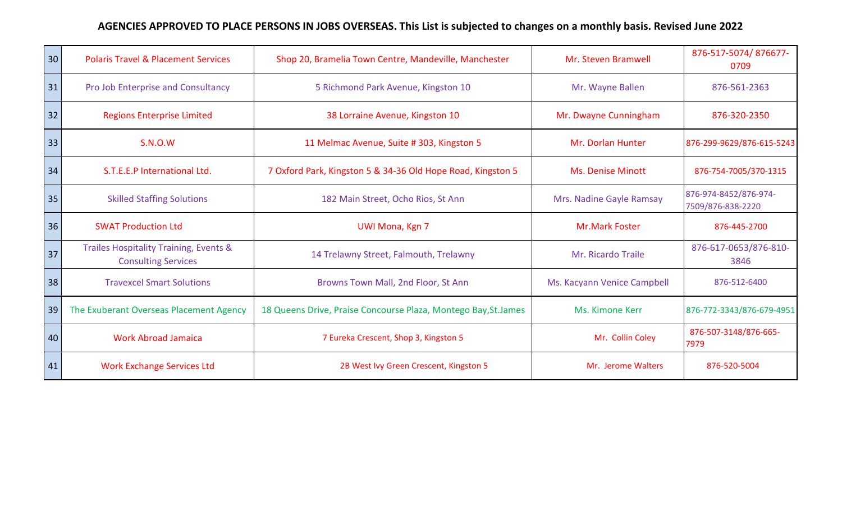## **AGENCIES APPROVED TO PLACE PERSONS IN JOBS OVERSEAS. This List is subjected to changes on a monthly basis. Revised June 2022**

| 30 | <b>Polaris Travel &amp; Placement Services</b>                       | Shop 20, Bramelia Town Centre, Mandeville, Manchester           | Mr. Steven Bramwell         | 876-517-5074/876677-<br>0709               |
|----|----------------------------------------------------------------------|-----------------------------------------------------------------|-----------------------------|--------------------------------------------|
| 31 | Pro Job Enterprise and Consultancy                                   | 5 Richmond Park Avenue, Kingston 10                             | Mr. Wayne Ballen            | 876-561-2363                               |
| 32 | <b>Regions Enterprise Limited</b>                                    | 38 Lorraine Avenue, Kingston 10                                 | Mr. Dwayne Cunningham       | 876-320-2350                               |
| 33 | <b>S.N.O.W</b>                                                       | 11 Melmac Avenue, Suite # 303, Kingston 5                       | Mr. Dorlan Hunter           | 876-299-9629/876-615-5243                  |
| 34 | S.T.E.E.P International Ltd.                                         | 7 Oxford Park, Kingston 5 & 34-36 Old Hope Road, Kingston 5     | <b>Ms. Denise Minott</b>    | 876-754-7005/370-1315                      |
| 35 | <b>Skilled Staffing Solutions</b>                                    | 182 Main Street, Ocho Rios, St Ann                              | Mrs. Nadine Gayle Ramsay    | 876-974-8452/876-974-<br>7509/876-838-2220 |
| 36 | <b>SWAT Production Ltd</b>                                           | <b>UWI Mona, Kgn 7</b>                                          | <b>Mr.Mark Foster</b>       | 876-445-2700                               |
| 37 | Trailes Hospitality Training, Events &<br><b>Consulting Services</b> | 14 Trelawny Street, Falmouth, Trelawny                          | Mr. Ricardo Traile          | 876-617-0653/876-810-<br>3846              |
| 38 | <b>Travexcel Smart Solutions</b>                                     | Browns Town Mall, 2nd Floor, St Ann                             | Ms. Kacyann Venice Campbell | 876-512-6400                               |
| 39 | The Exuberant Overseas Placement Agency                              | 18 Queens Drive, Praise Concourse Plaza, Montego Bay, St. James | Ms. Kimone Kerr             | 876-772-3343/876-679-4951                  |
| 40 | <b>Work Abroad Jamaica</b>                                           | 7 Eureka Crescent, Shop 3, Kingston 5                           | Mr. Collin Coley            | 876-507-3148/876-665-<br>7979              |
| 41 | <b>Work Exchange Services Ltd</b>                                    | 2B West Ivy Green Crescent, Kingston 5                          | Mr. Jerome Walters          | 876-520-5004                               |